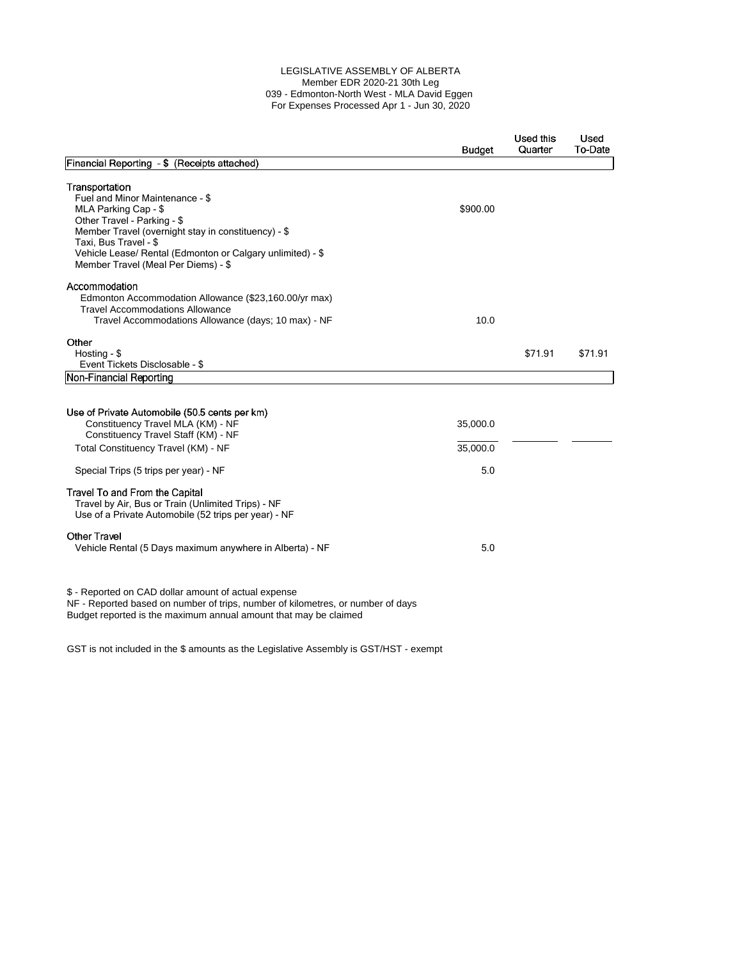## LEGISLATIVE ASSEMBLY OF ALBERTA Member EDR 2020-21 30th Leg 039 - Edmonton-North West - MLA David Eggen For Expenses Processed Apr 1 - Jun 30, 2020

|                                                                                                                                                                                                                                                                                               | <b>Budget</b>               | Used this<br>Quarter | Used<br>To-Date |
|-----------------------------------------------------------------------------------------------------------------------------------------------------------------------------------------------------------------------------------------------------------------------------------------------|-----------------------------|----------------------|-----------------|
| Financial Reporting - \$ (Receipts attached)                                                                                                                                                                                                                                                  |                             |                      |                 |
| Transportation<br>Fuel and Minor Maintenance - \$<br>MLA Parking Cap - \$<br>Other Travel - Parking - \$<br>Member Travel (overnight stay in constituency) - \$<br>Taxi, Bus Travel - \$<br>Vehicle Lease/ Rental (Edmonton or Calgary unlimited) - \$<br>Member Travel (Meal Per Diems) - \$ | \$900.00                    |                      |                 |
| Accommodation<br>Edmonton Accommodation Allowance (\$23,160.00/yr max)<br><b>Travel Accommodations Allowance</b><br>Travel Accommodations Allowance (days; 10 max) - NF                                                                                                                       | 10.0                        |                      |                 |
| Other<br>Hosting - \$<br>Event Tickets Disclosable - \$                                                                                                                                                                                                                                       |                             | \$71.91              | \$71.91         |
| Non-Financial Reporting                                                                                                                                                                                                                                                                       |                             |                      |                 |
| Use of Private Automobile (50.5 cents per km)<br>Constituency Travel MLA (KM) - NF<br>Constituency Travel Staff (KM) - NF<br>Total Constituency Travel (KM) - NF<br>Special Trips (5 trips per year) - NF                                                                                     | 35,000.0<br>35,000.0<br>5.0 |                      |                 |
| Travel To and From the Capital<br>Travel by Air, Bus or Train (Unlimited Trips) - NF<br>Use of a Private Automobile (52 trips per year) - NF                                                                                                                                                  |                             |                      |                 |
| <b>Other Travel</b><br>Vehicle Rental (5 Days maximum anywhere in Alberta) - NF                                                                                                                                                                                                               | 5.0                         |                      |                 |
| \$ - Reported on CAD dollar amount of actual expense<br>NF - Reported based on number of trips, number of kilometres, or number of days<br>Budget reported is the maximum annual amount that may be claimed                                                                                   |                             |                      |                 |

GST is not included in the \$ amounts as the Legislative Assembly is GST/HST - exempt